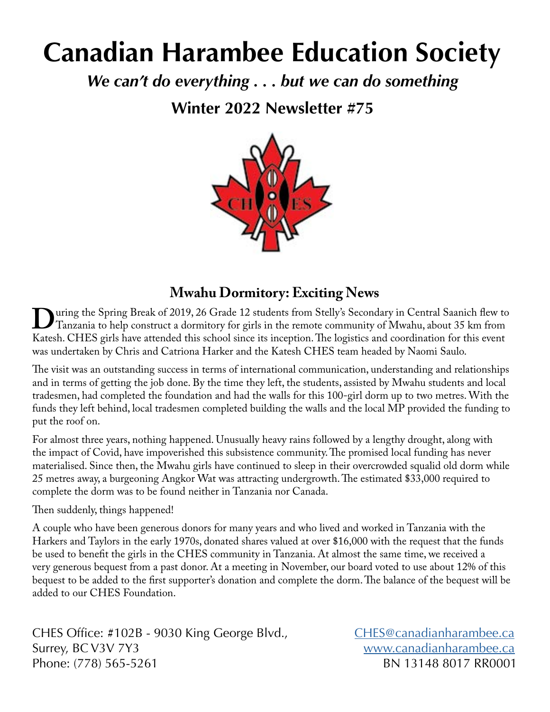# **Canadian Harambee Education Society**

*We can't do everything . . . but we can do something*

**Winter 2022 Newsletter #75**



#### **Mwahu Dormitory: Exciting News**

Uuring the Spring Break of 2019, 26 Grade 12 students from Stelly's Secondary in Central Saanich flew to<br>Tanzania to help construct a dormitory for girls in the remote community of Mwahu, about 35 km from<br>Katesh CHES girls Tanzania to help construct a dormitory for girls in the remote community of Mwahu, about 35 km from Katesh. CHES girls have attended this school since its inception. The logistics and coordination for this event was undertaken by Chris and Catriona Harker and the Katesh CHES team headed by Naomi Saulo.

The visit was an outstanding success in terms of international communication, understanding and relationships and in terms of getting the job done. By the time they left, the students, assisted by Mwahu students and local tradesmen, had completed the foundation and had the walls for this 100-girl dorm up to two metres. With the funds they left behind, local tradesmen completed building the walls and the local MP provided the funding to put the roof on.

For almost three years, nothing happened. Unusually heavy rains followed by a lengthy drought, along with the impact of Covid, have impoverished this subsistence community. The promised local funding has never materialised. Since then, the Mwahu girls have continued to sleep in their overcrowded squalid old dorm while 25 metres away, a burgeoning Angkor Wat was attracting undergrowth. The estimated \$33,000 required to complete the dorm was to be found neither in Tanzania nor Canada.

Then suddenly, things happened!

A couple who have been generous donors for many years and who lived and worked in Tanzania with the Harkers and Taylors in the early 1970s, donated shares valued at over \$16,000 with the request that the funds be used to benefit the girls in the CHES community in Tanzania. At almost the same time, we received a very generous bequest from a past donor. At a meeting in November, our board voted to use about 12% of this bequest to be added to the first supporter's donation and complete the dorm. The balance of the bequest will be added to our CHES Foundation.

CHES Office: #102B - 9030 King George Blvd., [CHES@canadianharambee.ca](mailto:CHES@canadianharambee.ca) Surrey, BC V3V 7Y3 [www.canadianharambee.ca](http://www.canadianharambee.ca) Phone: (778) 565-5261 BN 13148 8017 RR0001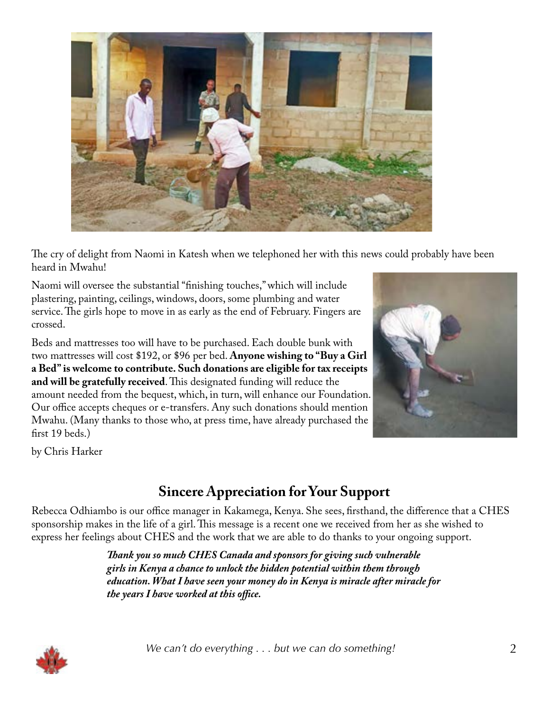

The cry of delight from Naomi in Katesh when we telephoned her with this news could probably have been heard in Mwahu!

Naomi will oversee the substantial "finishing touches," which will include plastering, painting, ceilings, windows, doors, some plumbing and water service. The girls hope to move in as early as the end of February. Fingers are crossed.

Beds and mattresses too will have to be purchased. Each double bunk with two mattresses will cost \$192, or \$96 per bed. **Anyone wishing to "Buy a Girl a Bed" is welcome to contribute. Such donations are eligible for tax receipts and will be gratefully received**. This designated funding will reduce the amount needed from the bequest, which, in turn, will enhance our Foundation. Our office accepts cheques or e-transfers. Any such donations should mention Mwahu. (Many thanks to those who, at press time, have already purchased the first 19 beds.)



by Chris Harker

# **Sincere Appreciation for Your Support**

Rebecca Odhiambo is our office manager in Kakamega, Kenya. She sees, firsthand, the difference that a CHES sponsorship makes in the life of a girl. This message is a recent one we received from her as she wished to express her feelings about CHES and the work that we are able to do thanks to your ongoing support.

> *Thank you so much CHES Canada and sponsors for giving such vulnerable girls in Kenya a chance to unlock the hidden potential within them through education. What I have seen your money do in Kenya is miracle after miracle for the years I have worked at this office.*

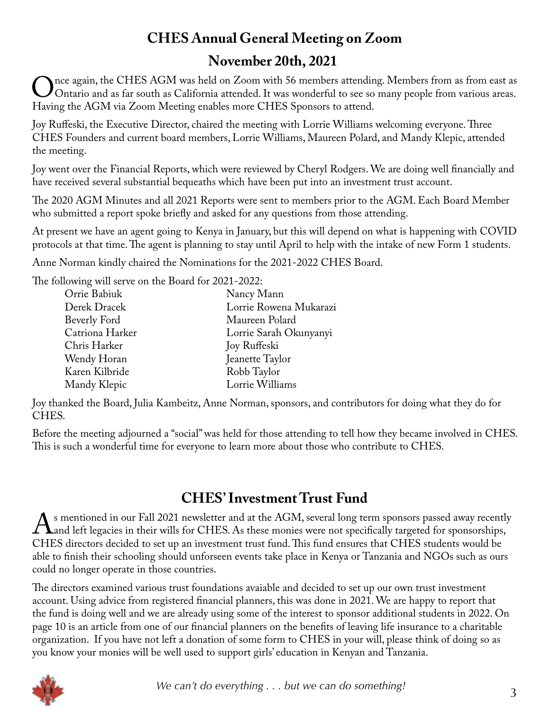# **CHES Annual General Meeting on Zoom November 20th, 2021**

The again, the CHES AGM was held on Zoom with 56 members attending. Members from as from east as Ontario and as far south as California attended. It was wonderful to see so many people from various areas. Having the AGM via Zoom Meeting enables more CHES Sponsors to attend.

Joy Ruffeski, the Executive Director, chaired the meeting with Lorrie Williams welcoming everyone. Three CHES Founders and current board members, Lorrie Williams, Maureen Polard, and Mandy Klepic, attended the meeting.

Joy went over the Financial Reports, which were reviewed by Cheryl Rodgers. We are doing well financially and have received several substantial bequeaths which have been put into an investment trust account.

The 2020 AGM Minutes and all 2021 Reports were sent to members prior to the AGM. Each Board Member who submitted a report spoke briefly and asked for any questions from those attending.

At present we have an agent going to Kenya in January, but this will depend on what is happening with COVID protocols at that time. The agent is planning to stay until April to help with the intake of new Form 1 students.

Anne Norman kindly chaired the Nominations for the 2021-2022 CHES Board.

The following will serve on the Board for 2021-2022:

| Orrie Babiuk    | Nancy Mann             |
|-----------------|------------------------|
| Derek Dracek    | Lorrie Rowena Mukarazi |
| Beverly Ford    | Maureen Polard         |
| Catriona Harker | Lorrie Sarah Okunyanyi |
| Chris Harker    | Joy Ruffeski           |
| Wendy Horan     | Jeanette Taylor        |
| Karen Kilbride  | Robb Taylor            |
| Mandy Klepic    | Lorrie Williams        |
|                 |                        |

Joy thanked the Board, Julia Kambeitz, Anne Norman, sponsors, and contributors for doing what they do for CHES.

Before the meeting adjourned a "social" was held for those attending to tell how they became involved in CHES. This is such a wonderful time for everyone to learn more about those who contribute to CHES.

# **CHES' Investment Trust Fund**

 $\rm A$ s mentioned in our Fall 2021 newsletter and at the AGM, several long term sponsors passed away recently<br>CHES directors decided to set up an investment trust fund. This fund ensures that CHES students would be and left legacies in their wills for CHES. As these monies were not specifically targeted for sponsorships, CHES directors decided to set up an investment trust fund. This fund ensures that CHES students would be able to finish their schooling should unforseen events take place in Kenya or Tanzania and NGOs such as ours could no longer operate in those countries.

The directors examined various trust foundations avaiable and decided to set up our own trust investment account. Using advice from registered financial planners, this was done in 2021. We are happy to report that the fund is doing well and we are already using some of the interest to sponsor additional students in 2022. On page 10 is an article from one of our financial planners on the benefits of leaving life insurance to a charitable organization. If you have not left a donation of some form to CHES in your will, please think of doing so as you know your monies will be well used to support girls' education in Kenyan and Tanzania.

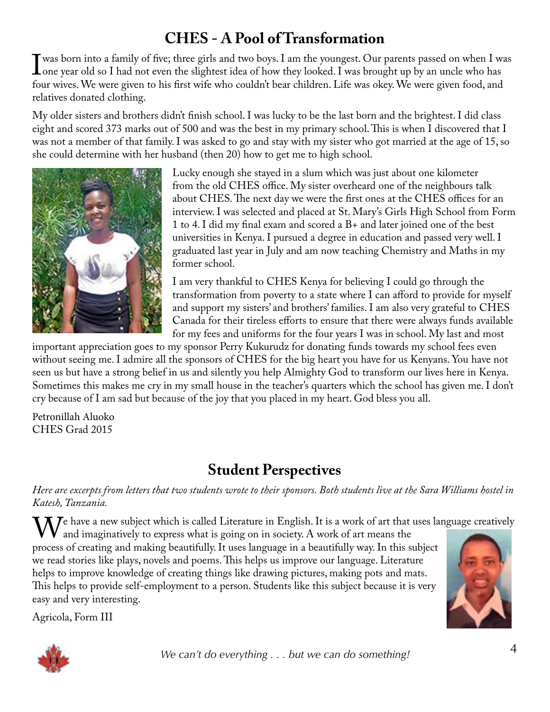# **CHES - A Pool of Transformation**

I was born into a family of five; three girls and two boys. I am the youngest. Our parents passed on when I was<br>I one year old so I had not even the slightest idea of how they looked. I was brought up by an uncle who has<br>f one year old so I had not even the slightest idea of how they looked. I was brought up by an uncle who has four wives. We were given to his first wife who couldn't bear children. Life was okey. We were given food, and relatives donated clothing.

My older sisters and brothers didn't finish school. I was lucky to be the last born and the brightest. I did class eight and scored 373 marks out of 500 and was the best in my primary school. This is when I discovered that I was not a member of that family. I was asked to go and stay with my sister who got married at the age of 15, so she could determine with her husband (then 20) how to get me to high school.



Lucky enough she stayed in a slum which was just about one kilometer from the old CHES office. My sister overheard one of the neighbours talk about CHES. The next day we were the first ones at the CHES offices for an interview. I was selected and placed at St. Mary's Girls High School from Form 1 to 4. I did my final exam and scored a B+ and later joined one of the best universities in Kenya. I pursued a degree in education and passed very well. I graduated last year in July and am now teaching Chemistry and Maths in my former school.

I am very thankful to CHES Kenya for believing I could go through the transformation from poverty to a state where I can afford to provide for myself and support my sisters' and brothers' families. I am also very grateful to CHES Canada for their tireless efforts to ensure that there were always funds available for my fees and uniforms for the four years I was in school. My last and most

important appreciation goes to my sponsor Perry Kukurudz for donating funds towards my school fees even without seeing me. I admire all the sponsors of CHES for the big heart you have for us Kenyans. You have not seen us but have a strong belief in us and silently you help Almighty God to transform our lives here in Kenya. Sometimes this makes me cry in my small house in the teacher's quarters which the school has given me. I don't cry because of I am sad but because of the joy that you placed in my heart. God bless you all.

Petronillah Aluoko CHES Grad 2015

# **Student Perspectives**

*Here are excerpts from letters that two students wrote to their sponsors. Both students live at the Sara Williams hostel in Katesh, Tanzania.*

We have a new subject which is called Literature in English. It is a work of art that uses language creatively<br>and imaginatively to express what is going on in society. A work of art means the<br>process of creating and makin and imaginatively to express what is going on in society. A work of art means the process of creating and making beautifully. It uses language in a beautifully way. In this subject we read stories like plays, novels and poems. This helps us improve our language. Literature helps to improve knowledge of creating things like drawing pictures, making pots and mats. This helps to provide self-employment to a person. Students like this subject because it is very easy and very interesting.

Agricola, Form III



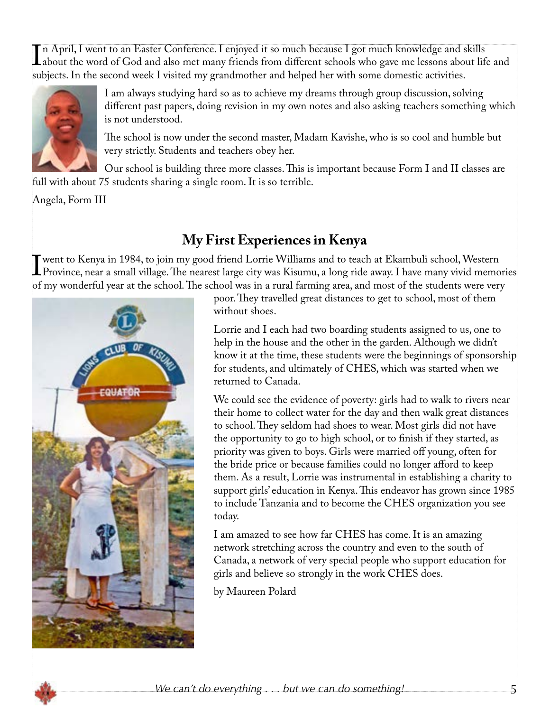In April, I went to an Easter Conference. I enjoyed it so much because I got much knowledge and skills<br>about the word of God and also met many friends from different schools who gave me lessons about life<br>subjects. In the about the word of God and also met many friends from different schools who gave me lessons about life and subjects. In the second week I visited my grandmother and helped her with some domestic activities.



I am always studying hard so as to achieve my dreams through group discussion, solving different past papers, doing revision in my own notes and also asking teachers something which is not understood.

The school is now under the second master, Madam Kavishe, who is so cool and humble but very strictly. Students and teachers obey her.

Our school is building three more classes. This is important because Form I and II classes are full with about 75 students sharing a single room. It is so terrible.

Angela, Form III

# **My First Experiences in Kenya**

I went to Kenya in 1984, to join my good friend Lorrie Williams and to teach at Ekambuli school, Western<br>Province, near a small village. The nearest large city was Kisumu, a long ride away. I have many vivid memo<br>of my won Province, near a small village. The nearest large city was Kisumu, a long ride away. I have many vivid memories of my wonderful year at the school. The school was in a rural farming area, and most of the students were very



poor. They travelled great distances to get to school, most of them without shoes.

Lorrie and I each had two boarding students assigned to us, one to help in the house and the other in the garden. Although we didn't know it at the time, these students were the beginnings of sponsorship for students, and ultimately of CHES, which was started when we returned to Canada.

We could see the evidence of poverty: girls had to walk to rivers near their home to collect water for the day and then walk great distances to school. They seldom had shoes to wear. Most girls did not have the opportunity to go to high school, or to finish if they started, as priority was given to boys. Girls were married off young, often for the bride price or because families could no longer afford to keep them. As a result, Lorrie was instrumental in establishing a charity to support girls' education in Kenya. This endeavor has grown since 1985 to include Tanzania and to become the CHES organization you see today.

I am amazed to see how far CHES has come. It is an amazing network stretching across the country and even to the south of Canada, a network of very special people who support education for girls and believe so strongly in the work CHES does.

by Maureen Polard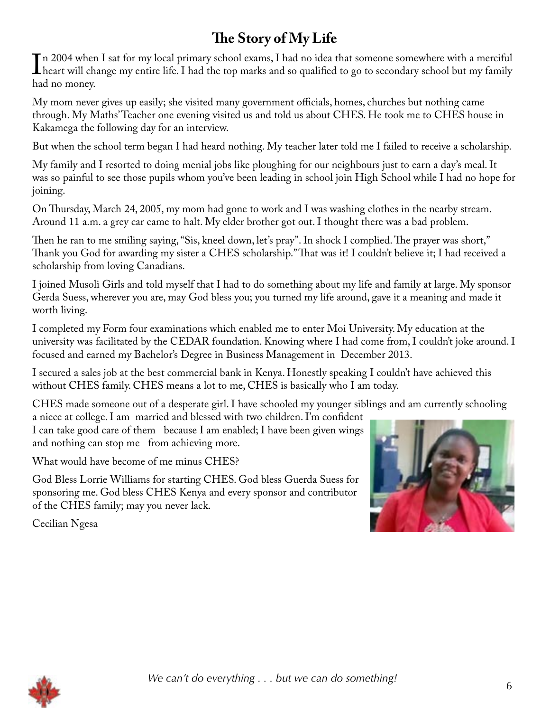# **The Story of My Life**

 $\prod_{h_3}$ In 2004 when I sat for my local primary school exams, I had no idea that someone somewhere with a merciful heart will change my entire life. I had the top marks and so qualified to go to secondary school but my family had no money.

My mom never gives up easily; she visited many government officials, homes, churches but nothing came through. My Maths' Teacher one evening visited us and told us about CHES. He took me to CHES house in Kakamega the following day for an interview.

But when the school term began I had heard nothing. My teacher later told me I failed to receive a scholarship.

My family and I resorted to doing menial jobs like ploughing for our neighbours just to earn a day's meal. It was so painful to see those pupils whom you've been leading in school join High School while I had no hope for joining.

On Thursday, March 24, 2005, my mom had gone to work and I was washing clothes in the nearby stream. Around 11 a.m. a grey car came to halt. My elder brother got out. I thought there was a bad problem.

Then he ran to me smiling saying, "Sis, kneel down, let's pray". In shock I complied. The prayer was short," Thank you God for awarding my sister a CHES scholarship." That was it! I couldn't believe it; I had received a scholarship from loving Canadians.

I joined Musoli Girls and told myself that I had to do something about my life and family at large. My sponsor Gerda Suess, wherever you are, may God bless you; you turned my life around, gave it a meaning and made it worth living.

I completed my Form four examinations which enabled me to enter Moi University. My education at the university was facilitated by the CEDAR foundation. Knowing where I had come from, I couldn't joke around. I focused and earned my Bachelor's Degree in Business Management in December 2013.

I secured a sales job at the best commercial bank in Kenya. Honestly speaking I couldn't have achieved this without CHES family. CHES means a lot to me, CHES is basically who I am today.

CHES made someone out of a desperate girl. I have schooled my younger siblings and am currently schooling

a niece at college. I am married and blessed with two children. I'm confident I can take good care of them because I am enabled; I have been given wings and nothing can stop me from achieving more.

What would have become of me minus CHES?

God Bless Lorrie Williams for starting CHES. God bless Guerda Suess for sponsoring me. God bless CHES Kenya and every sponsor and contributor of the CHES family; may you never lack.



Cecilian Ngesa

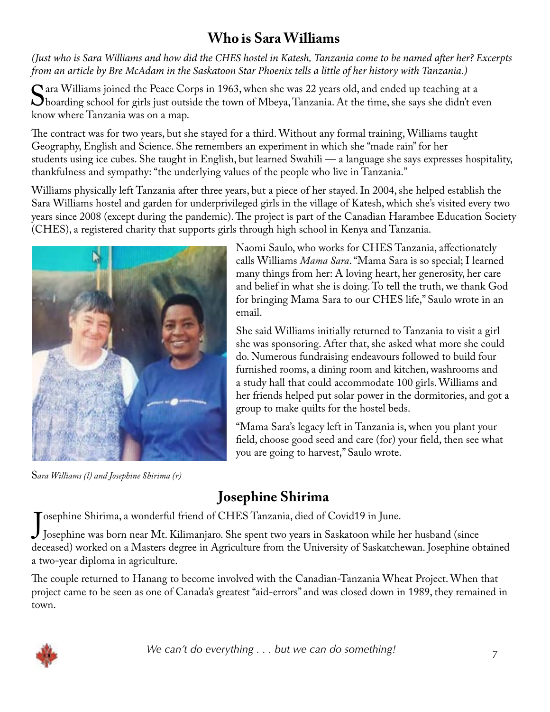#### **Who is Sara Williams**

*(Just who is Sara Williams and how did the CHES hostel in Katesh, Tanzania come to be named after her? Excerpts from an article by Bre McAdam in the Saskatoon Star Phoenix tells a little of her history with Tanzania.)*

Sara Williams joined the Peace Corps in 1963, when she was 22 years old, and ended up teaching at a<br>boarding school for girls just outside the town of Mbeya, Tanzania. At the time, she says she didn't ev<br>know where Tanzani boarding school for girls just outside the town of Mbeya, Tanzania. At the time, she says she didn't even know where Tanzania was on a map.

The contract was for two years, but she stayed for a third. Without any formal training, Williams taught Geography, English and Science. She remembers an experiment in which she "made rain" for her students using ice cubes. She taught in English, but learned Swahili — a language she says expresses hospitality, thankfulness and sympathy: "the underlying values of the people who live in Tanzania."

Williams physically left Tanzania after three years, but a piece of her stayed. In 2004, she helped establish the Sara Williams hostel and garden for underprivileged girls in the village of Katesh, which she's visited every two years since 2008 (except during the pandemic). The project is part of the Canadian Harambee Education Society (CHES), a registered charity that supports girls through high school in Kenya and Tanzania.



S*ara Williams (l) and Josephine Shirima (r)*

Naomi Saulo, who works for CHES Tanzania, affectionately calls Williams *Mama Sara*. "Mama Sara is so special; I learned many things from her: A loving heart, her generosity, her care and belief in what she is doing. To tell the truth, we thank God for bringing Mama Sara to our CHES life," Saulo wrote in an email.

She said Williams initially returned to Tanzania to visit a girl she was sponsoring. After that, she asked what more she could do. Numerous fundraising endeavours followed to build four furnished rooms, a dining room and kitchen, washrooms and a study hall that could accommodate 100 girls. Williams and her friends helped put solar power in the dormitories, and got a group to make quilts for the hostel beds.

"Mama Sara's legacy left in Tanzania is, when you plant your field, choose good seed and care (for) your field, then see what you are going to harvest," Saulo wrote.

# **Josephine Shirima**

osephine Shirima, a wonderful friend of CHES Tanzania, died of Covid19 in June.

Josephine Shirima, a wonderful friend of CHES Tanzania, died of CovidT9 in June.<br>Josephine was born near Mt. Kilimanjaro. She spent two years in Saskatoon while her husband (since deceased) worked on a Masters degree in Agriculture from the University of Saskatchewan. Josephine obtained a two-year diploma in agriculture.

The couple returned to Hanang to become involved with the Canadian-Tanzania Wheat Project. When that project came to be seen as one of Canada's greatest "aid-errors" and was closed down in 1989, they remained in town.

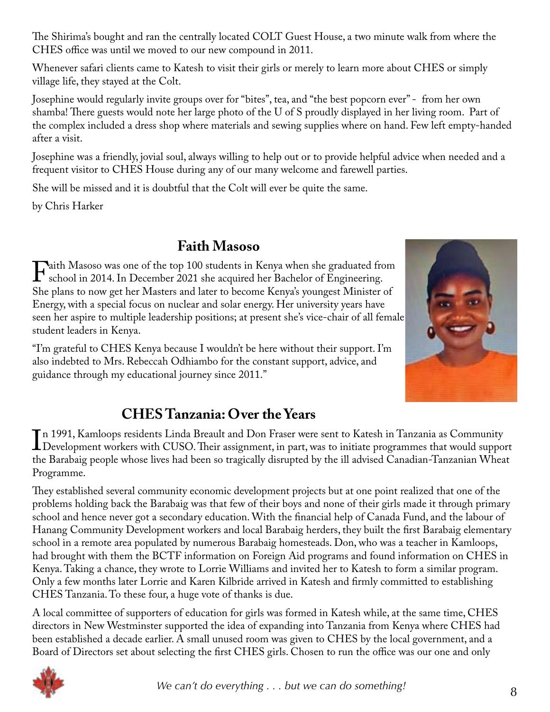The Shirima's bought and ran the centrally located COLT Guest House, a two minute walk from where the CHES office was until we moved to our new compound in 2011.

Whenever safari clients came to Katesh to visit their girls or merely to learn more about CHES or simply village life, they stayed at the Colt.

Josephine would regularly invite groups over for "bites", tea, and "the best popcorn ever" - from her own shamba! There guests would note her large photo of the U of S proudly displayed in her living room. Part of the complex included a dress shop where materials and sewing supplies where on hand. Few left empty-handed after a visit.

Josephine was a friendly, jovial soul, always willing to help out or to provide helpful advice when needed and a frequent visitor to CHES House during any of our many welcome and farewell parties.

She will be missed and it is doubtful that the Colt will ever be quite the same.

by Chris Harker

# **Faith Masoso**

Faith Masoso was one of the top 100 students in Kenya when she graduated from<br>school in 2014. In December 2021 she acquired her Bachelor of Engineering.<br>She plans to now get her Masters and later to become Kenya's voungest school in 2014. In December 2021 she acquired her Bachelor of Engineering. She plans to now get her Masters and later to become Kenya's youngest Minister of Energy, with a special focus on nuclear and solar energy. Her university years have seen her aspire to multiple leadership positions; at present she's vice-chair of all female student leaders in Kenya.

"I'm grateful to CHES Kenya because I wouldn't be here without their support. I'm also indebted to Mrs. Rebeccah Odhiambo for the constant support, advice, and guidance through my educational journey since 2011."



# **CHES Tanzania: Over the Years**

 $\prod_{\mathrm{th}}$ n 1991, Kamloops residents Linda Breault and Don Fraser were sent to Katesh in Tanzania as Community Development workers with CUSO. Their assignment, in part, was to initiate programmes that would support the Barabaig people whose lives had been so tragically disrupted by the ill advised Canadian-Tanzanian Wheat Programme.

They established several community economic development projects but at one point realized that one of the problems holding back the Barabaig was that few of their boys and none of their girls made it through primary school and hence never got a secondary education. With the financial help of Canada Fund, and the labour of Hanang Community Development workers and local Barabaig herders, they built the first Barabaig elementary school in a remote area populated by numerous Barabaig homesteads. Don, who was a teacher in Kamloops, had brought with them the BCTF information on Foreign Aid programs and found information on CHES in Kenya. Taking a chance, they wrote to Lorrie Williams and invited her to Katesh to form a similar program. Only a few months later Lorrie and Karen Kilbride arrived in Katesh and firmly committed to establishing CHES Tanzania. To these four, a huge vote of thanks is due.

A local committee of supporters of education for girls was formed in Katesh while, at the same time, CHES directors in New Westminster supported the idea of expanding into Tanzania from Kenya where CHES had been established a decade earlier. A small unused room was given to CHES by the local government, and a Board of Directors set about selecting the first CHES girls. Chosen to run the office was our one and only

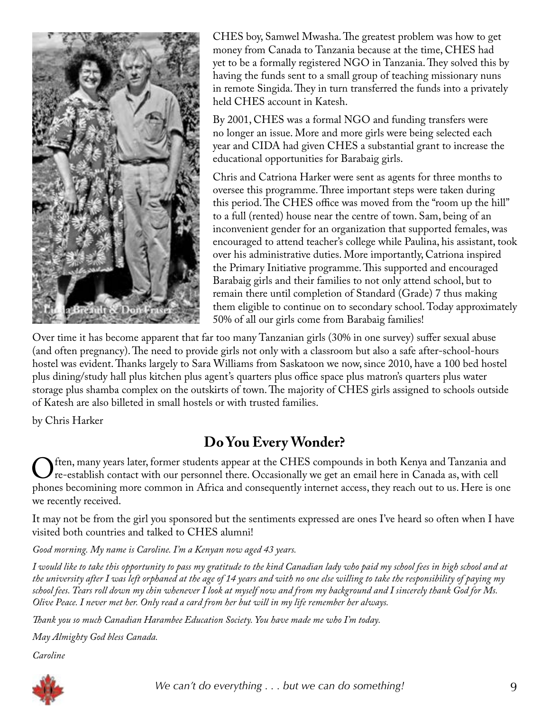

CHES boy, Samwel Mwasha. The greatest problem was how to get money from Canada to Tanzania because at the time, CHES had yet to be a formally registered NGO in Tanzania. They solved this by having the funds sent to a small group of teaching missionary nuns in remote Singida. They in turn transferred the funds into a privately held CHES account in Katesh.

By 2001, CHES was a formal NGO and funding transfers were no longer an issue. More and more girls were being selected each year and CIDA had given CHES a substantial grant to increase the educational opportunities for Barabaig girls.

Chris and Catriona Harker were sent as agents for three months to oversee this programme. Three important steps were taken during this period. The CHES office was moved from the "room up the hill" to a full (rented) house near the centre of town. Sam, being of an inconvenient gender for an organization that supported females, was encouraged to attend teacher's college while Paulina, his assistant, took over his administrative duties. More importantly, Catriona inspired the Primary Initiative programme. This supported and encouraged Barabaig girls and their families to not only attend school, but to remain there until completion of Standard (Grade) 7 thus making them eligible to continue on to secondary school. Today approximately 50% of all our girls come from Barabaig families!

Over time it has become apparent that far too many Tanzanian girls (30% in one survey) suffer sexual abuse (and often pregnancy). The need to provide girls not only with a classroom but also a safe after-school-hours hostel was evident. Thanks largely to Sara Williams from Saskatoon we now, since 2010, have a 100 bed hostel plus dining/study hall plus kitchen plus agent's quarters plus office space plus matron's quarters plus water storage plus shamba complex on the outskirts of town. The majority of CHES girls assigned to schools outside of Katesh are also billeted in small hostels or with trusted families.

by Chris Harker

# **Do You Every Wonder?**

Often, many years later, former students appear at the CHES compounds in both Kenya and Tanzania and<br>The establish contact with our personnel there. Occasionally we get an email here in Canada as, with cell<br>phones becomini re-establish contact with our personnel there. Occasionally we get an email here in Canada as, with cell phones becomining more common in Africa and consequently internet access, they reach out to us. Here is one we recently received.

It may not be from the girl you sponsored but the sentiments expressed are ones I've heard so often when I have visited both countries and talked to CHES alumni!

*Good morning. My name is Caroline. I'm a Kenyan now aged 43 years.*

*I would like to take this opportunity to pass my gratitude to the kind Canadian lady who paid my school fees in high school and at the university after I was left orphaned at the age of 14 years and with no one else willing to take the responsibility of paying my school fees. Tears roll down my chin whenever I look at myself now and from my background and I sincerely thank God for Ms. Olive Peace. I never met her. Only read a card from her but will in my life remember her always.*

*Thank you so much Canadian Harambee Education Society. You have made me who I'm today.*

*May Almighty God bless Canada.*

*Caroline*